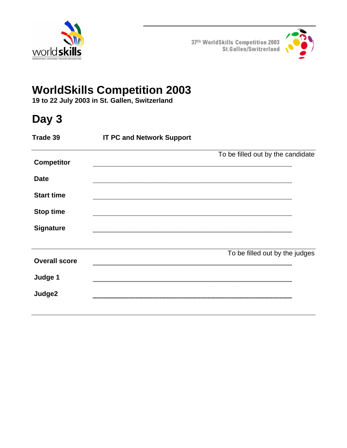



# **WorldSkills Competition 2003**

**19 to 22 July 2003 in St. Gallen, Switzerland** 

## **Day 3**

| Trade 39             | <b>IT PC and Network Support</b> |                                   |  |
|----------------------|----------------------------------|-----------------------------------|--|
| <b>Competitor</b>    |                                  | To be filled out by the candidate |  |
| <b>Date</b>          |                                  |                                   |  |
| <b>Start time</b>    |                                  |                                   |  |
| <b>Stop time</b>     |                                  |                                   |  |
| <b>Signature</b>     |                                  |                                   |  |
|                      |                                  |                                   |  |
| <b>Overall score</b> |                                  | To be filled out by the judges    |  |
| Judge 1              |                                  |                                   |  |
| Judge2               |                                  |                                   |  |
|                      |                                  |                                   |  |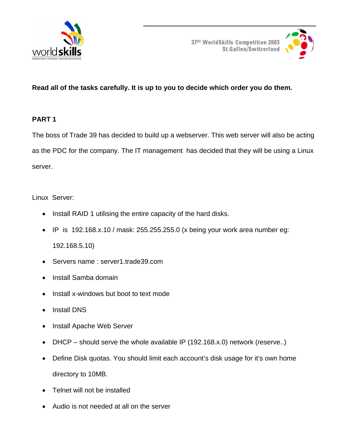



## **Read all of the tasks carefully. It is up to you to decide which order you do them.**

#### **PART 1**

The boss of Trade 39 has decided to build up a webserver. This web server will also be acting as the PDC for the company. The IT management has decided that they will be using a Linux server.

Linux Server:

- Install RAID 1 utilising the entire capacity of the hard disks.
- IP is 192.168.x.10 / mask: 255.255.255.0 (x being your work area number eg: 192.168.5.10)
- Servers name: server1.trade39.com
- Install Samba domain
- Install x-windows but boot to text mode
- Install DNS
- Install Apache Web Server
- DHCP should serve the whole available IP (192.168.x.0) network (reserve..)
- Define Disk quotas. You should limit each account's disk usage for it's own home directory to 10MB.
- Telnet will not be installed
- Audio is not needed at all on the server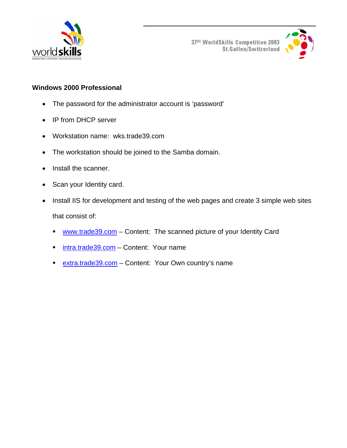



#### **Windows 2000 Professional**

- The password for the administrator account is 'password'
- IP from DHCP server
- Workstation name: wks.trade39.com
- The workstation should be joined to the Samba domain.
- Install the scanner.
- Scan your Identity card.
- Install IIS for development and testing of the web pages and create 3 simple web sites that consist of:
	- www.trade39.com Content: The scanned picture of your Identity Card
	- **intra.trade39.com** Content: Your name
	- **extra.trade39.com** Content: Your Own country's name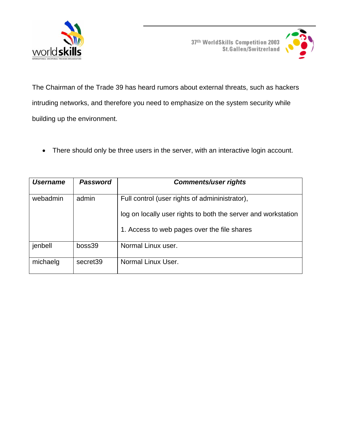



The Chairman of the Trade 39 has heard rumors about external threats, such as hackers intruding networks, and therefore you need to emphasize on the system security while building up the environment.

• There should only be three users in the server, with an interactive login account.

| <b>Username</b> | <b>Password</b> | <b>Comments/user rights</b>                                   |
|-----------------|-----------------|---------------------------------------------------------------|
| webadmin        | admin           | Full control (user rights of admininistrator),                |
|                 |                 | log on locally user rights to both the server and workstation |
|                 |                 | 1. Access to web pages over the file shares                   |
| jenbell         | boss39          | Normal Linux user.                                            |
| michaelg        | secret39        | Normal Linux User.                                            |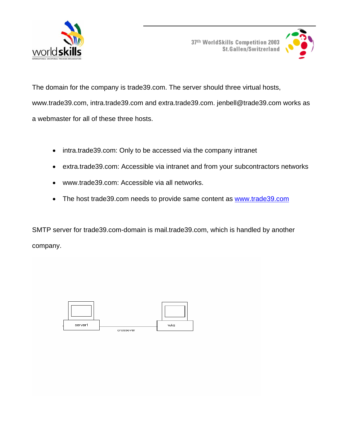



The domain for the company is trade39.com. The server should three virtual hosts, www.trade39.com, intra.trade39.com and extra.trade39.com. jenbell@trade39.com works as a webmaster for all of these three hosts.

- intra.trade39.com: Only to be accessed via the company intranet
- extra.trade39.com: Accessible via intranet and from your subcontractors networks
- www.trade39.com: Accessible via all networks.
- The host trade39.com needs to provide same content as www.trade39.com

SMTP server for trade39.com-domain is mail.trade39.com, which is handled by another company.

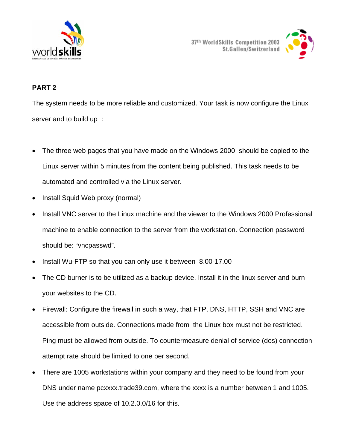



## **PART 2**

The system needs to be more reliable and customized. Your task is now configure the Linux server and to build up :

- The three web pages that you have made on the Windows 2000 should be copied to the Linux server within 5 minutes from the content being published. This task needs to be automated and controlled via the Linux server.
- Install Squid Web proxy (normal)
- Install VNC server to the Linux machine and the viewer to the Windows 2000 Professional machine to enable connection to the server from the workstation. Connection password should be: "vncpasswd".
- Install Wu-FTP so that you can only use it between 8.00-17.00
- The CD burner is to be utilized as a backup device. Install it in the linux server and burn your websites to the CD.
- Firewall: Configure the firewall in such a way, that FTP, DNS, HTTP, SSH and VNC are accessible from outside. Connections made from the Linux box must not be restricted. Ping must be allowed from outside. To countermeasure denial of service (dos) connection attempt rate should be limited to one per second.
- There are 1005 workstations within your company and they need to be found from your DNS under name pcxxxx.trade39.com, where the xxxx is a number between 1 and 1005. Use the address space of 10.2.0.0/16 for this.